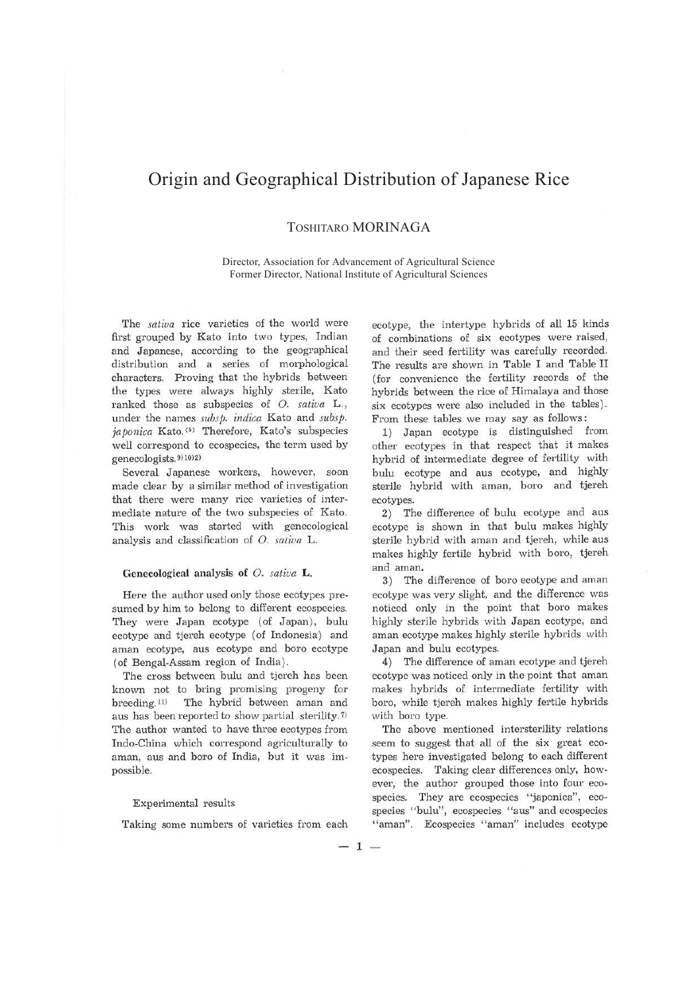# Origin and Geographical Distribution of Japanese Rice

## TOSHITARO MORINAGA

Director, Association for Advancement of Agricultural Science Former Director, National Institute of Agricultural Sciences

The *saliva* rice varieties of the world were first grouped by Kato into two types, Indian and Japanese, according to the geographical distribution and a series of morphological characters. Proving that the hybrids between the types were always highly sterile, Kato ranked those as subspecies of 0. *sativa* L., under the names *subsp. indica* Kato and *subsp. japonica* Kato.<sup>(5)</sup> Therefore, Kato's subspecies well correspond to ecospecies, the term used by genecologists. 9) 10) 2)

Several Japanese workers, however, soon made clear by a similar method of investigation that there were many rice varieties of intermediate nature of the two subspecies of Kato. This work was started with genecological analysis and classification of O. *sativa* L.

### **Genecological analysis of** 0. *sativa* **L.**

Here the author used only those ecotypes presumed by him to belong to different ecospecies. They were Japan ecotype (of Japan), bulu ecotype and tjereh ecotype (of Indonesia) and aman ecotype, aus ecotype and boro ecotype ( of Bengal-Assam region of India).

The cross between bulu and tjereh has been known not to bring promising progeny for breeding.<sup>11)</sup> The hybrid between aman and aus has been reported to show partial sterility.<sup>7)</sup> The author wanted to have three ecotypes from Indo-China which correspond agriculturally to aman, aus and boro of India, but it was impossible.

#### Experimental results

Taking some numbers of varieties from each

ecotype, the intertype hybrids of all 15 kinds of combinations of six ecotypes were raised, and their seed fertility was carefully recorded. The results are shown in Table I and Table II (for convenience the fertility records of the hybrids between the rice of Himalaya and those six ecotypes were also included in the tables). From these tables we may say as follows :

1) Japan ecotype is distinguished from other ecotypes in that respect that it makes hybrid of intermediate degree of fertility with bulu ecotype and aus ecotype, and highly sterile hybrid with aman, boro and tjereh ecotypes.

2) The difference of bulu ecotype and aus ecotype is shown in that bulu makes highly sterile hybrid with aman and tjereh, while aus makes highly fertile hybrid with boro, tjereh and aman.

3) The difference of boro ecotype and aman ecotype was very slight, and the difference was noticed only in the point that boro makes highly sterile hybrids with Japan ecotype, and aman ecotype makes highly sterile hybrids with Japan and bulu ecotypes.

4) The difference of aman ecotype and tjereh ecotype was noticed only in the point that aman makes hybrids of intermediate fertility with boro, while tjereh makes highly fertile hybrids with boro type.

The above mentioned intersterility relations seem to suggest that all of the six great ecotypes here investigated belong to each different ecospecies. Taking clear differences only, however, the author grouped those into four ecospecies. They are ecospecies ''japonica", ecospecies "bulu", ecospecies "aus" and ecospecies "aman". Ecospecies "aman" includes ecotype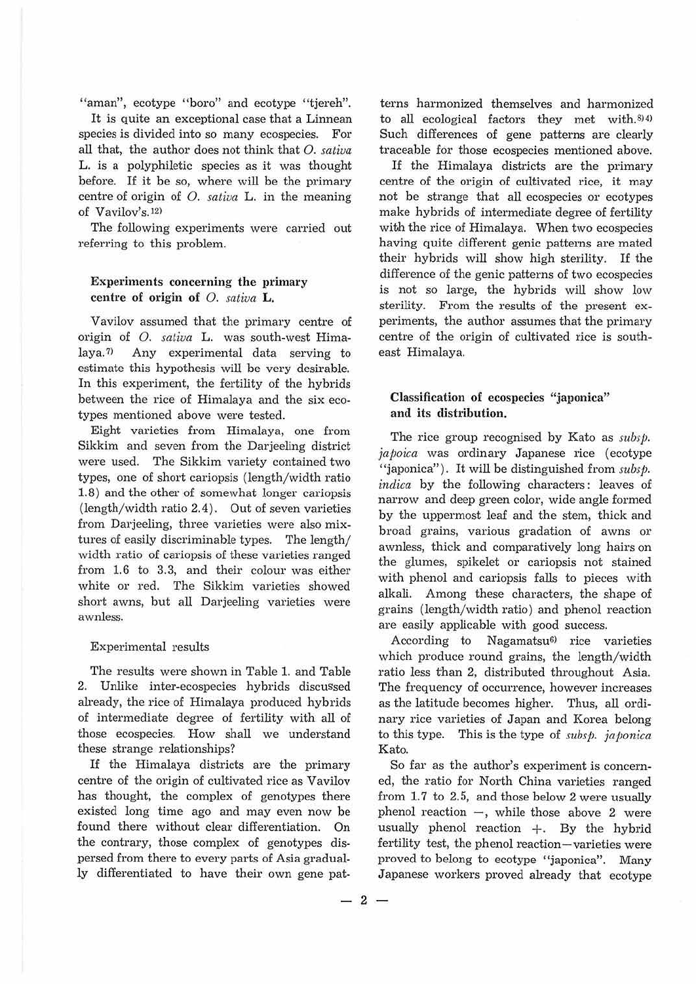"aman", ecotype "boro" and ecotype "tjereh".

It is quite an exceptional case that a Linnean species is divided into so many ecospecies. For all that, the author does not think that *0. sativa*  L. *is* a polyphiletic species as it was thought before. If it be so, where will be the primary centre of origin of 0. *sativa* L. in the meaning of Vavilov's. 12)

The following experiments were carried out referring to this problem.

## Experiments concerning the primary **centre of origin of** *0. satiua* **L.**

Vavilov assumed that the primary centre of origin of *O. satiua* **L.** was south-west Himalaya.<sup> $\eta$ </sup> Any experimental data serving to estimate this hypothesis will be very desirable. In this experiment, the fertility of the hybrids between the rice of Himalaya and the six ecotypes mentioned above were tested.

Eight varieties from Himalaya, one from Sikkim and seven from the Darjeeling district were used. The Sikkim variety contained two types, one of short cariopsis (length/width ratio 1.8) and the other of somewhat longer cariopsis (length/width ratio 2.4). Out of seven varieties from Darjeeling, three varieties were also mixtures of easily discriminable types. The length/ width ratio of cariopsis of these varieties ranged from 1.6 to 3.3, and their colour was either white or red. The Sikkim varieties showed short awns, but all Darjeeling varieties were awnless.

#### Experimental results

The results were shown in Table 1. and Table 2. Unlike inter-ecospecies hybrids discussed already, the rice of Himalaya produced hybrids of intermediate degree of fertility with all of those ecospecies. How shall we understand these strange relationships?

If the Himalaya districts are the primary centre of the *origin* of cultivated rice as Vavilov has thought, the complex of genotypes there existed long time ago and may even now be found there without clear differentiation. On the contrary, those complex of genotypes dispersed from there to every parts of Asia gradually differentiated to have their own gene pat-

terns harmonized themselves and harmonized to all ecological factors they met with. 8)4) Such differences of gene patterns are clearly traceable for those ecospecies mentioned above.

If the Himalaya districts are the primary centre of the origin of cultivated rice, it may not be strange that all ecospecies or ecotypes make hybrids of intermediate degree of fertility with the rice of Himalaya. When two ecospecies having quite different genic patterns are mated their hybrids will show high sterility. If the difference of the genie patterns of two ecospecies is not so large, the hybrids will show low sterility. From the results of the present experiments, the author assumes that the primary centre of the origin of cultivated rice is southeast Himalaya.

## **Classification of ecospecies "japonica" and its distribution.**

The rice group recognised by Kato as *subsp. japoica* was ordinary Japanese rice (ecotype "iaponica"). It will be distinguished from *subsp. indica* by the following characters: leaves of narrow and deep green color, wide angle formed by the uppermost leaf and the stem, thick and broad grains, various gradation of awns or awnless, thick and comparatively long hairs on the glumes, spikelet or cariopsis not stained with phenol and cariopsis falls to pieces with alkali. Among these characters, the shape of grains (length/width ratio) and phenol reaction are easily applicable with good success.

According to Nagamatsu<sup>6</sup> rice varieties which produce round grains, the length/width ratio less than 2, distributed throughout Asia. The frequency of occurrence, however increases as the latitude becomes higher. Thus, all ordinary rice varieties of Japan and Korea belong to this type. This is the type of *subsp. japonica*  Kato.

So far as the author's experiment is concerned, the ratio for North China varieties ranged from 1.7 to 2.5, and those below 2 were usually phenol reaction  $-$ , while those above 2 were usually phenol reaction  $+$ . By the hybrid fertility test, the phenol reaction-varieties were proved to belong to ecotype "japonica". Many Japanese workers proved already that ecotype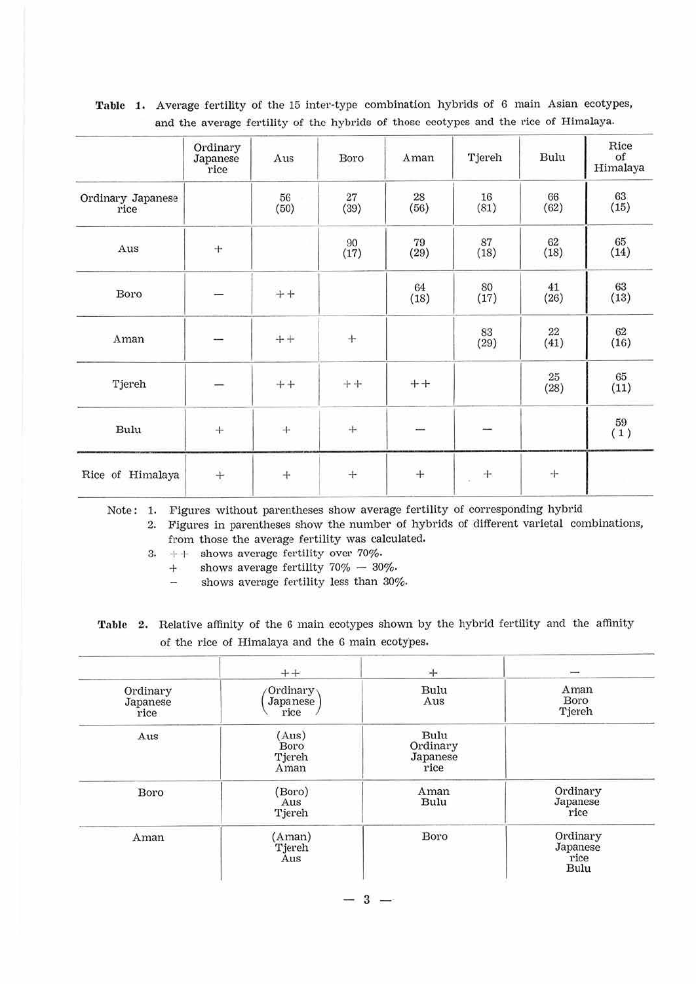|                           | Ordinary<br>Japanese<br>rice | Aus                            | Boro       | Aman       | Tjereh          | Bulu           | Rice<br>of<br>Himalaya |
|---------------------------|------------------------------|--------------------------------|------------|------------|-----------------|----------------|------------------------|
| Ordinary Japanese<br>rice |                              | 56<br>(50)                     | 27<br>(39) | 28<br>(56) | 16<br>(81)      | 66<br>(62)     | 63<br>(15)             |
| Aus                       | $\! +$                       |                                | 90<br>(17) | 79<br>(29) | 87<br>(18)      | 62<br>(18)     | 65<br>(14)             |
| Boro                      |                              | $\boldsymbol{+}\boldsymbol{+}$ |            | 64<br>(18) | 80<br>(17)      | 41<br>(26)     | 63<br>(13)             |
| Aman                      | --                           | $+ +$                          | $+$        |            | 83<br>(29)      | 22<br>(41)     | 62<br>(16)             |
| Tjereh                    | ī                            | $++$                           | $++$       | $++$       |                 | $25\,$<br>(28) | $65\,$<br>(11)         |
| Bulu                      | $\ddot{}$                    | $^{+}$                         | $\! +$     |            |                 |                | $\binom{59}{1}$        |
| Rice of Himalaya          | $\boldsymbol{+}$             | $+$                            | $\! +$     | $+$        | $+$<br>$\omega$ | $+$            |                        |

Table 1. Average fertility of the 15 inter-type combination hybrids of 6 main Asian ecotypes, and the average fertility of the hybrids of those ecotypes and the rice of Himalaya.

Note: 1. Figures without parentheses show average fertility of corresponding hybrid

2. Figures in parentheses show the number of hybrids of different varietal combinations, from those the average fertility was calculated.

3.  $++$  shows average fertility over 70%.

 $+$  shows average fertility 70%  $-$  30%.

shows average fertility less than 30%, A

|  | Table 2. Relative affinity of the 6 main ecotypes shown by the hybrid fertility and the affinity |
|--|--------------------------------------------------------------------------------------------------|
|  | of the rice of Himalaya and the 6 main ecotypes.                                                 |

|                              | $++$                                | $+$                                  |                                      |
|------------------------------|-------------------------------------|--------------------------------------|--------------------------------------|
| Ordinary<br>Japanese<br>rice | Ordinary<br><b>Japanese</b><br>rice | Bulu<br>Aus                          | Aman<br>Boro<br>Tjereh               |
| Aus                          | (Aus)<br>Boro<br>Tjereh<br>Aman     | Bulu<br>Ordinary<br>Japanese<br>rice |                                      |
| Boro                         | (Boro)<br>Aus<br>Tjereh             | Aman<br>Bulu                         | Ordinary<br>Japanese<br>rice         |
| Aman                         | (Aman)<br>Tjereh<br>Aus             | Boro                                 | Ordinary<br>Japanese<br>rice<br>Bulu |

 $-3-$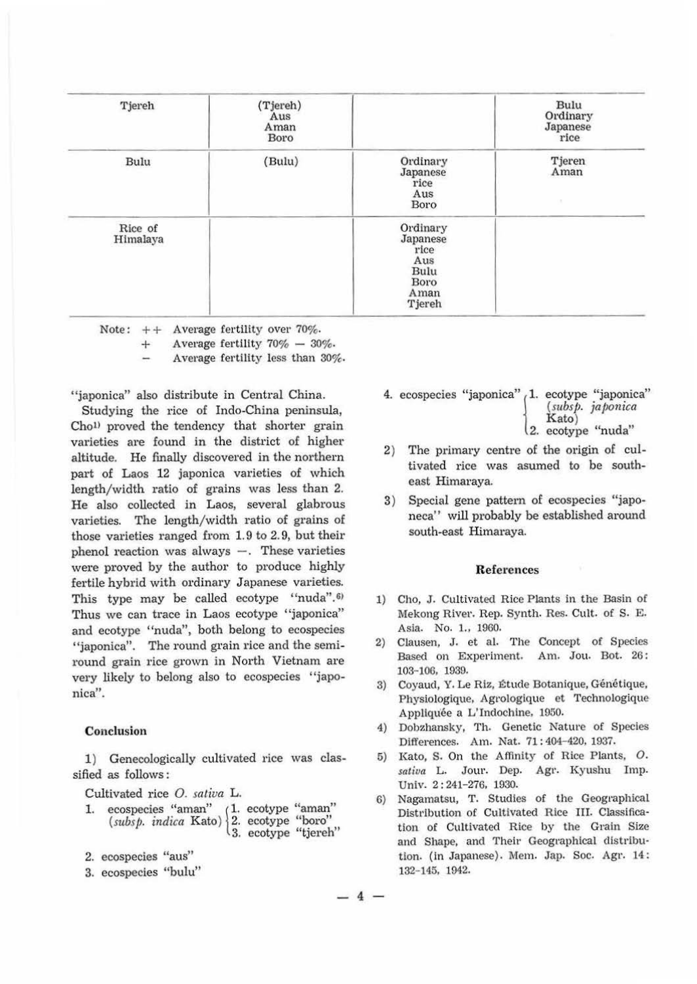| Tjereh              | (Tjereh)<br>Aus<br>Aman<br>Boro |                                                                       | Bulu<br>Ordinary<br>Japanese<br>rice |
|---------------------|---------------------------------|-----------------------------------------------------------------------|--------------------------------------|
| Bulu                | (Bulu)                          | Ordinary<br>Japanese<br>rice<br>Aus<br>Boro                           | Tjeren<br>Aman<br>$\mathcal{L}$      |
| Rice of<br>Himalaya |                                 | Ordinary<br>Japanese<br>rice<br>Aus<br>Bulu<br>Boro<br>Aman<br>Tjereh |                                      |

Note:  $++$  Average fertility over 70%.

 $+$  Average fertility  $70\%$  -  $30\%$ .

Average fertility less than 30%,

"japonica" also distribute in Central China.

Studying the rice of Indo-China peninsula, Chol> proved the tendency that shorter grain varieties are found in the district of higher altitude. He finally discovered in the northern part of Laos 12 japonica varieties of which length/width ratio of grains was less than 2. He also collected in Laos, several glabrous varieties. The length/width ratio of grains of those varieties ranged from 1. 9 to 2. 9, but their phenol reaction was always  $-$ . These varieties were proved by the author to produce highly fertile hybrid with ordinary Japanese varieties. This type may be called ecotype "nuda".<sup>6)</sup> Thus we can trace in Laos ecotype "japonica" and ecotype "nuda", both belong to ecospecies "japonica". The round grain rice and the semiround grain rice grown in North Vietnam are very likely to belong also to ecospecies "japonica".

#### **Conclusion**

1) Genecologically cultivated rice was classified as follows :

Cultivated rice *0. saliva* L.

- Cultivated rice *O. sativa* L.<br>1. ecospecies "aman" (1. ecotype "aman" (*subsp. indica* Kato) 2. ecotype "boro" 3. ecotype "tjereh"
- 2. ecospecies "aus"
- 3. ecospecies "bulu"
- 4. ecospecies "japonica" 1. ecotype "japonica" (mbsj>. *ja/>0nica* Kato)
	- Kato)<br>2. ecotype "nuda"
- 2) The primary centre of the origin of cultivated rice was asumed to be southeast Himaraya.
- 3) Special gene pattern of ecospecies "japoneca" will probably be established around south-east Himaraya.

#### **References**

- 1) Cho, J. Cultivated Rice Plants in the Basin of Mekong River. Rep. Synth. Res. Cult. of S. E. Asia. No. 1., 1960.
- 2) Clausen, J. et al. The Concept of Species Based on Experiment. Am. Jou. Bot. 26: 103-106, 1939.
- 3) Coyaud, Y. Le Riz, Étude Botanique, Génétique, Physiologique, Agrologique et Technologique Appliquée a L'Indochine, 1950.
- 4) Dobzhansky, Th. Genetic Nature of Species Differences. Am. Nat. 71: 404-420, 1937.
- 5) Kato, s. On the Affinity of Rice Plants, O. *satiua* L. Jour. Dep. Agt·. Kyushu Imp. Univ. 2: 241-276, 1930.
- 6) Nagamatsu, T. Studies of the Geographical Distribution of Cultivated Rice III. Classification of Cultivated Rice by the Grain Size and Shape, and Their Geographical distribution. (In Japanese). Mem. Jap. Soc. Agr. 14: 132- 145, 1942.

 $-4-$